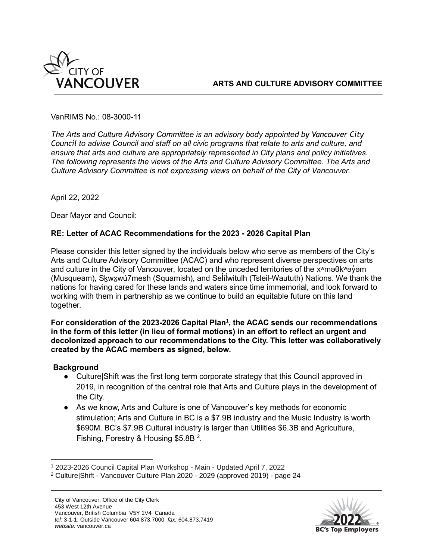

VanRIMS No.: 08-3000-11

*The Arts and Culture Advisory Committee is an advisory body appointed by Vancouver City Council to advise Council and staff on all civic programs that relate to arts and culture, and ensure that arts and culture are appropriately represented in City plans and policy initiatives. The following represents the views of the Arts and Culture Advisory Committee. The Arts and Culture Advisory Committee is not expressing views on behalf of the City of Vancouver.* 

April 22, 2022

Dear Mayor and Council:

## **RE: Letter of ACAC Recommendations for the 2023 - 2026 Capital Plan**

Please consider this letter signed by the individuals below who serve as members of the City's Arts and Culture Advisory Committee (ACAC) and who represent diverse perspectives on arts and culture in the City of Vancouver, located on the unceded territories of the x<sup>w</sup>maθk<sup>w</sup>ay<sup>'</sup> am (Musqueam), [Sḵwx̱wú7mesh](http://www.squamish.net/) (Squamish), and Sel íl [̓witulh](https://twnation.ca/) (Tsleil-Waututh) Nations. We thank the ̓ nations for having cared for these lands and waters since time immemorial, and look forward to working with them in partnership as we continue to build an equitable future on this land together.

**For consideration of the 2023-2026 Capital Plan<sup>1</sup> , the ACAC sends our recommendations in the form of this letter (in lieu of formal motions) in an effort to reflect an urgent and decolonized approach to our recommendations to the City. This letter was collaboratively created by the ACAC members as signed, below.**

## **Background**

- Culture|Shift was the first long term corporate strategy that this Council approved in 2019, in recognition of the central role that Arts and Culture plays in the development of the City.
- As we know, Arts and Culture is one of Vancouver's key methods for economic stimulation; Arts and Culture in BC is a \$7.9B industry and the Music Industry is worth \$690M. BC's \$7.9B Cultural industry is larger than Utilities \$6.3B and Agriculture, Fishing, Forestry & Housing \$5.8B  $^2$ .



<sup>1</sup> [2023-2026 Council Capital Plan Workshop -](https://council.vancouver.ca/20220331/documents/2023-2026CouncilCapitalPlanWorkshop-Main.pdf) Main - Updated April 7, 2022

<sup>2</sup> Culture|Shift - Vancouver Culture Plan 2020 - 2029 (approved 2019) - page 24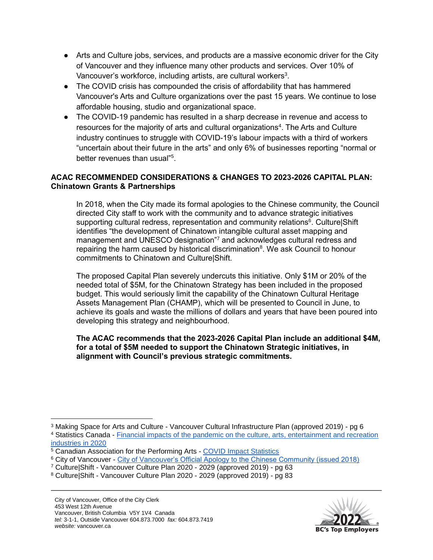- Arts and Culture jobs, services, and products are a massive economic driver for the City of Vancouver and they influence many other products and services. Over 10% of Vancouver's workforce, including artists, are cultural workers $^3$ .
- The COVID crisis has compounded the crisis of affordability that has hammered Vancouver's Arts and Culture organizations over the past 15 years. We continue to lose affordable housing, studio and organizational space.
- The COVID-19 pandemic has resulted in a sharp decrease in revenue and access to resources for the majority of arts and cultural organizations<sup>4</sup>. The Arts and Culture industry continues to struggle with COVID-19's labour impacts with a third of workers "uncertain about their future in the arts" and only 6% of businesses reporting "normal or better revenues than usual"<sup>5</sup>.

# **ACAC RECOMMENDED CONSIDERATIONS & CHANGES TO 2023-2026 CAPITAL PLAN: Chinatown Grants & Partnerships**

In 2018, when the City made its formal apologies to the Chinese community, the Council directed City staff to work with the community and to advance strategic initiatives supporting cultural redress, representation and community relations<sup>6</sup>. Culture|Shift identifies "the development of Chinatown intangible cultural asset mapping and management and UNESCO designation<sup>"7</sup> and acknowledges cultural redress and repairing the harm caused by historical discrimination<sup>8</sup>. We ask Council to honour commitments to Chinatown and Culture|Shift.

The proposed Capital Plan severely undercuts this initiative. Only \$1M or 20% of the needed total of \$5M, for the Chinatown Strategy has been included in the proposed budget. This would seriously limit the capability of the Chinatown Cultural Heritage Assets Management Plan (CHAMP), which will be presented to Council in June, to achieve its goals and waste the millions of dollars and years that have been poured into developing this strategy and neighbourhood.

#### **The ACAC recommends that the 2023-2026 Capital Plan include an additional \$4M, for a total of \$5M needed to support the Chinatown Strategic initiatives, in alignment with Council's previous strategic commitments.**



<sup>3</sup> Making Space for Arts and Culture - Vancouver Cultural Infrastructure Plan (approved 2019) - pg 6

<sup>4</sup> Statistics Canada - [Financial impacts of the pandemic on the culture, arts, entertainment and recreation](https://www150.statcan.gc.ca/n1/pub/45-28-0001/2021001/article/00033-eng.htm)  [industries in 2020](https://www150.statcan.gc.ca/n1/pub/45-28-0001/2021001/article/00033-eng.htm)

<sup>&</sup>lt;sup>5</sup> Canadian Association for the Performing Arts - [COVID Impact Statistics](https://capacoa.ca/en/research/covid-impact-statistics/)

<sup>6</sup> City of Vancouver - [City of Vancouver's Official Apology to the Chinese Community \(issued 2018\)](https://vancouver.ca/files/cov/18-112-06%20chinese-apology-media-english.pdf)

<sup>7</sup> Culture|Shift - Vancouver Culture Plan 2020 - 2029 (approved 2019) - pg 63

<sup>8</sup> Culture|Shift - Vancouver Culture Plan 2020 - 2029 (approved 2019) - pg 83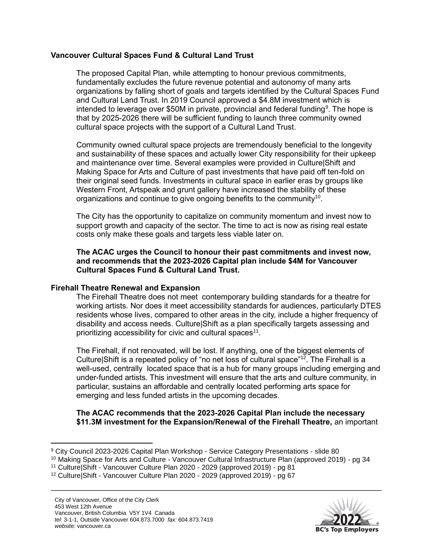## **Vancouver Cultural Spaces Fund & Cultural Land Trust**

The proposed Capital Plan, while attempting to honour previous commitments, fundamentally excludes the future revenue potential and autonomy of many arts organizations by falling short of goals and targets identified by the Cultural Spaces Fund and Cultural Land Trust. In 2019 Council approved a \$4.8M investment which is intended to leverage over \$50M in private, provincial and federal funding<sup>9</sup>. The hope is that by 2025-2026 there will be sufficient funding to launch three community owned cultural space projects with the support of a Cultural Land Trust.

Community owned cultural space projects are tremendously beneficial to the longevity and sustainability of these spaces and actually lower City responsibility for their upkeep and maintenance over time. Several examples were provided in Culture|Shift and Making Space for Arts and Culture of past investments that have paid off ten-fold on their original seed funds. Investments in cultural space in earlier eras by groups like Western Front, Artspeak and grunt gallery have increased the stability of these organizations and continue to give ongoing benefits to the community<sup>10</sup>.

The City has the opportunity to capitalize on community momentum and invest now to support growth and capacity of the sector. The time to act is now as rising real estate costs only make these goals and targets less viable later on.

**The ACAC urges the Council to honour their past commitments and invest now, and recommends that the 2023-2026 Capital plan include \$4M for Vancouver Cultural Spaces Fund & Cultural Land Trust.**

## **Firehall Theatre Renewal and Expansion**

The Firehall Theatre does not meet contemporary building standards for a theatre for working artists. Nor does it meet accessibility standards for audiences, particularly DTES residents whose lives, compared to other areas in the city, include a higher frequency of disability and access needs. Culture|Shift as a plan specifically targets assessing and prioritizing accessibility for civic and cultural spaces<sup>11</sup>.

The Firehall, if not renovated, will be lost. If anything, one of the biggest elements of Culture|Shift is a repeated policy of "no net loss of cultural space" <sup>12</sup>. The Firehall is a well-used, centrally located space that is a hub for many groups including emerging and under-funded artists. This investment will ensure that the arts and culture community, in particular, sustains an affordable and centrally located performing arts space for emerging and less funded artists in the upcoming decades.

#### **The ACAC recommends that the 2023-2026 Capital Plan include the necessary \$11.3M investment for the Expansion/Renewal of the Firehall Theatre,** an important



<sup>9</sup> City Council 2023-2026 Capital Plan Workshop - Service Category Presentations - slide 80

<sup>&</sup>lt;sup>10</sup> Making Space for Arts and Culture - Vancouver Cultural Infrastructure Plan (approved 2019) - pg 34

<sup>11</sup> Culture|Shift - Vancouver Culture Plan 2020 - 2029 (approved 2019) - pg 81

<sup>12</sup> Culture|Shift - Vancouver Culture Plan 2020 - 2029 (approved 2019) - pg 67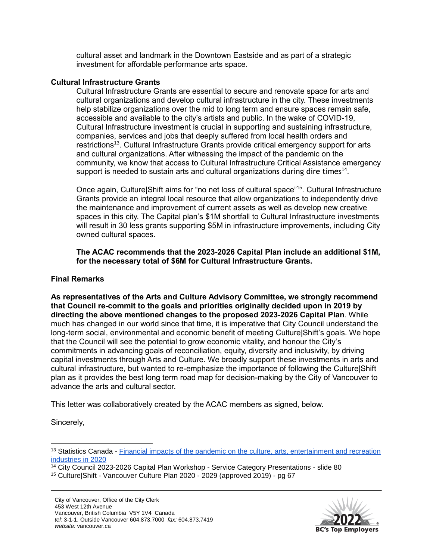cultural asset and landmark in the Downtown Eastside and as part of a strategic investment for affordable performance arts space.

#### **Cultural Infrastructure Grants**

Cultural Infrastructure Grants are essential to secure and renovate space for arts and cultural organizations and develop cultural infrastructure in the city. These investments help stabilize organizations over the mid to long term and ensure spaces remain safe, accessible and available to the city's artists and public. In the wake of COVID-19, Cultural Infrastructure investment is crucial in supporting and sustaining infrastructure, companies, services and jobs that deeply suffered from local health orders and restrictions<sup>13</sup>. Cultural Infrastructure Grants provide critical emergency support for arts and cultural organizations. After witnessing the impact of the pandemic on the community, we know that access to Cultural Infrastructure Critical Assistance emergency support is needed to sustain arts and cultural organizations during dire times<sup>14</sup>.

Once again, Culture|Shift aims for "no net loss of cultural space"<sup>15</sup>. Cultural Infrastructure Grants provide an integral local resource that allow organizations to independently drive the maintenance and improvement of current assets as well as develop new creative spaces in this city. The Capital plan's \$1M shortfall to Cultural Infrastructure investments will result in 30 less grants supporting \$5M in infrastructure improvements, including City owned cultural spaces.

**The ACAC recommends that the 2023-2026 Capital Plan include an additional \$1M, for the necessary total of \$6M for Cultural Infrastructure Grants.**

#### **Final Remarks**

**As representatives of the Arts and Culture Advisory Committee, we strongly recommend that Council re-commit to the goals and priorities originally decided upon in 2019 by directing the above mentioned changes to the proposed 2023-2026 Capital Plan**. While much has changed in our world since that time, it is imperative that City Council understand the long-term social, environmental and economic benefit of meeting Culture|Shift's goals. We hope that the Council will see the potential to grow economic vitality, and honour the City's commitments in advancing goals of reconciliation, equity, diversity and inclusivity, by driving capital investments through Arts and Culture. We broadly support these investments in arts and cultural infrastructure, but wanted to re-emphasize the importance of following the Culture|Shift plan as it provides the best long term road map for decision-making by the City of Vancouver to advance the arts and cultural sector.

This letter was collaboratively created by the ACAC members as signed, below.

Sincerely,



<sup>&</sup>lt;sup>13</sup> Statistics Canada - Financial impacts of the pandemic on the culture, arts, entertainment and recreation [industries in 2020](https://www150.statcan.gc.ca/n1/pub/45-28-0001/2021001/article/00033-eng.htm)

 $\frac{14}{14}$  City Council 2023-2026 Capital Plan Workshop - Service Category Presentations - slide 80

<sup>15</sup> Culture|Shift - Vancouver Culture Plan 2020 - 2029 (approved 2019) - pg 67